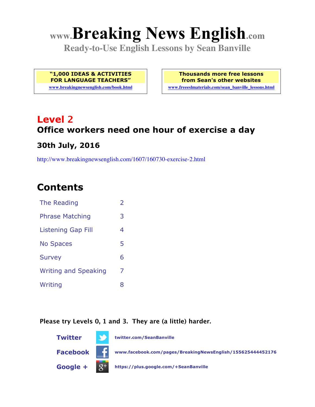# **www.Breaking News English.com**

**Ready-to-Use English Lessons by Sean Banville**

**"1,000 IDEAS & ACTIVITIES FOR LANGUAGE TEACHERS"**

**www.breakingnewsenglish.com/book.html**

**Thousands more free lessons from Sean's other websites www.freeeslmaterials.com/sean\_banville\_lessons.html**

### **Level 2 Office workers need one hour of exercise a day 30th July, 2016**

http://www.breakingnewsenglish.com/1607/160730-exercise-2.html

### **Contents**

| The Reading                 | $\overline{2}$ |
|-----------------------------|----------------|
| <b>Phrase Matching</b>      | 3              |
| <b>Listening Gap Fill</b>   | 4              |
| <b>No Spaces</b>            | 5              |
| <b>Survey</b>               | 6              |
| <b>Writing and Speaking</b> | 7              |
| Writing                     | 8              |

#### **Please try Levels 0, 1 and 3. They are (a little) harder.**

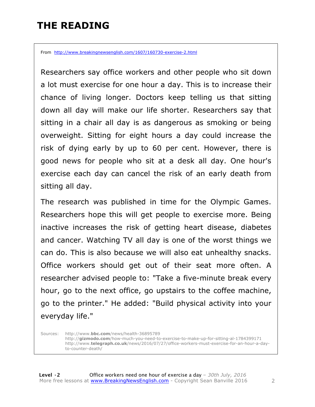### **THE READING**

From http://www.breakingnewsenglish.com/1607/160730-exercise-2.html

Researchers say office workers and other people who sit down a lot must exercise for one hour a day. This is to increase their chance of living longer. Doctors keep telling us that sitting down all day will make our life shorter. Researchers say that sitting in a chair all day is as dangerous as smoking or being overweight. Sitting for eight hours a day could increase the risk of dying early by up to 60 per cent. However, there is good news for people who sit at a desk all day. One hour's exercise each day can cancel the risk of an early death from sitting all day.

The research was published in time for the Olympic Games. Researchers hope this will get people to exercise more. Being inactive increases the risk of getting heart disease, diabetes and cancer. Watching TV all day is one of the worst things we can do. This is also because we will also eat unhealthy snacks. Office workers should get out of their seat more often. A researcher advised people to: "Take a five-minute break every hour, go to the next office, go upstairs to the coffee machine, go to the printer." He added: "Build physical activity into your everyday life."

Sources: http://www.**bbc.com**/news/health-36895789 http://**gizmodo.com**/how-much-you-need-to-exercise-to-make-up-for-sitting-al-1784399171 http://www.**telegraph.co.uk**/news/2016/07/27/office-workers-must-exercise-for-an-hour-a-dayto-counter-death/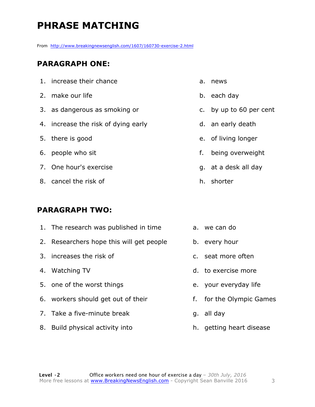### **PHRASE MATCHING**

From http://www.breakingnewsenglish.com/1607/160730-exercise-2.html

### **PARAGRAPH ONE:**

| 1. increase their chance            |
|-------------------------------------|
| 2. make our life                    |
| 3. as dangerous as smoking or       |
| 4. increase the risk of dying early |
| 5. there is good                    |
| 6. people who sit                   |
| 7. One hour's exercise              |
| 8. cancel the risk of               |

#### **PARAGRAPH TWO:**

| 1. The research was published in time    | a. we can do             |
|------------------------------------------|--------------------------|
| 2. Researchers hope this will get people | b. every hour            |
| 3. increases the risk of                 | c. seat more often       |
| 4. Watching TV                           | d. to exercise more      |
| 5. one of the worst things               | e. your everyday life    |
| 6. workers should get out of their       | f. for the Olympic Games |
| 7. Take a five-minute break              | g. all day               |
| 8. Build physical activity into          | h. getting heart disease |

a. news

b. each day

c. by up to 60 per cent

d. an early death

e. of living longer

f. being overweight

g. at a desk all day

h. shorter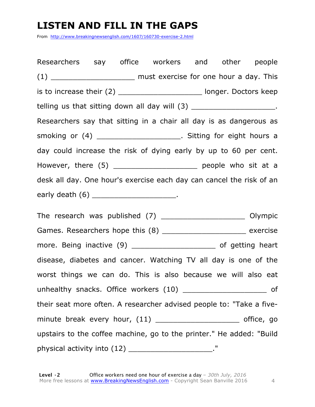### **LISTEN AND FILL IN THE GAPS**

From http://www.breakingnewsenglish.com/1607/160730-exercise-2.html

Researchers say office workers and other people  $(1)$  must exercise for one hour a day. This is to increase their  $(2)$  \_\_\_\_\_\_\_\_\_\_\_\_\_\_\_\_\_\_\_\_\_\_\_\_\_\_ longer. Doctors keep telling us that sitting down all day will (3) \_\_\_\_\_\_\_\_\_\_\_\_\_\_\_\_\_\_\_\_\_\_. Researchers say that sitting in a chair all day is as dangerous as smoking or  $(4)$  \_\_\_\_\_\_\_\_\_\_\_\_\_\_\_\_\_\_\_\_\_\_\_. Sitting for eight hours a day could increase the risk of dying early by up to 60 per cent. However, there (5) \_\_\_\_\_\_\_\_\_\_\_\_\_\_\_\_\_\_\_\_\_\_ people who sit at a desk all day. One hour's exercise each day can cancel the risk of an early death (6) \_\_\_\_\_\_\_\_\_\_\_\_\_\_\_\_\_\_\_\_\_\_\_.

The research was published (7) \_\_\_\_\_\_\_\_\_\_\_\_\_\_\_\_\_\_\_ Olympic Games. Researchers hope this (8) \_\_\_\_\_\_\_\_\_\_\_\_\_\_\_\_\_\_\_\_\_\_\_ exercise more. Being inactive (9) \_\_\_\_\_\_\_\_\_\_\_\_\_\_\_\_\_\_\_\_\_\_\_ of getting heart disease, diabetes and cancer. Watching TV all day is one of the worst things we can do. This is also because we will also eat unhealthy snacks. Office workers (10) \_ matches are not as a sof their seat more often. A researcher advised people to: "Take a fiveminute break every hour, (11) \_\_\_\_\_\_\_\_\_\_\_\_\_\_\_\_\_\_\_\_\_\_\_\_ office, go upstairs to the coffee machine, go to the printer." He added: "Build physical activity into (12) \_\_\_\_\_\_\_\_\_\_\_\_\_\_\_\_\_\_\_\_\_\_\_."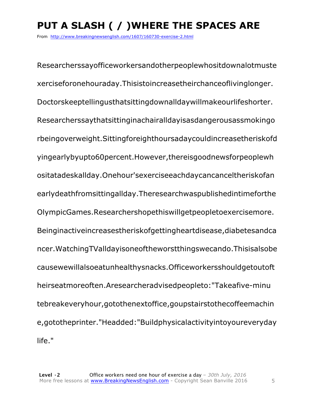## **PUT A SLASH ( / )WHERE THE SPACES ARE**

From http://www.breakingnewsenglish.com/1607/160730-exercise-2.html

Researcherssayofficeworkersandotherpeoplewhositdownalotmuste xerciseforonehouraday.Thisistoincreasetheirchanceoflivinglonger. Doctorskeeptellingusthatsittingdownalldaywillmakeourlifeshorter. Researcherssaythatsittinginachairalldayisasdangerousassmokingo rbeingoverweight.Sittingforeighthoursadaycouldincreasetheriskofd yingearlybyupto60percent.However,thereisgoodnewsforpeoplewh ositatadeskallday.Onehour'sexerciseeachdaycancanceltheriskofan earlydeathfromsittingallday.Theresearchwaspublishedintimeforthe OlympicGames.Researchershopethiswillgetpeopletoexercisemore. Beinginactiveincreasestheriskofgettingheartdisease,diabetesandca ncer.WatchingTValldayisoneoftheworstthingswecando.Thisisalsobe causewewillalsoeatunhealthysnacks.Officeworkersshouldgetoutoft heirseatmoreoften.Aresearcheradvisedpeopleto:"Takeafive-minu tebreakeveryhour,gotothenextoffice,goupstairstothecoffeemachin e,gototheprinter."Headded:"Buildphysicalactivityintoyoureveryday life."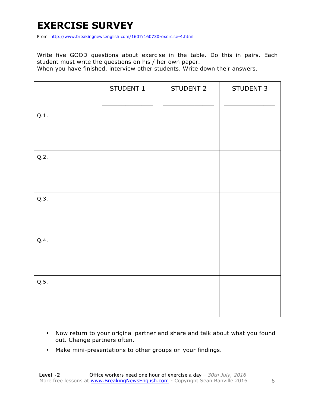### **EXERCISE SURVEY**

From http://www.breakingnewsenglish.com/1607/160730-exercise-4.html

Write five GOOD questions about exercise in the table. Do this in pairs. Each student must write the questions on his / her own paper.

When you have finished, interview other students. Write down their answers.

|      | STUDENT 1 | STUDENT 2 | STUDENT 3 |
|------|-----------|-----------|-----------|
| Q.1. |           |           |           |
| Q.2. |           |           |           |
| Q.3. |           |           |           |
| Q.4. |           |           |           |
| Q.5. |           |           |           |

- Now return to your original partner and share and talk about what you found out. Change partners often.
- Make mini-presentations to other groups on your findings.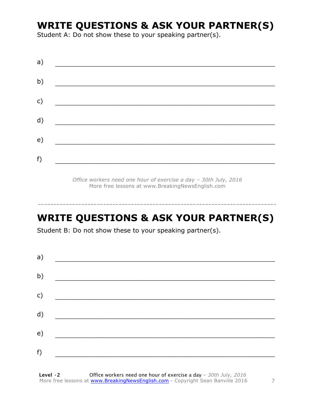### **WRITE QUESTIONS & ASK YOUR PARTNER(S)**

Student A: Do not show these to your speaking partner(s).

| a) |  |  |
|----|--|--|
| b) |  |  |
| c) |  |  |
| d) |  |  |
| e) |  |  |
| f) |  |  |
|    |  |  |

*Office workers need one hour of exercise a day – 30th July, 2016* More free lessons at www.BreakingNewsEnglish.com

### **WRITE QUESTIONS & ASK YOUR PARTNER(S)**

-----------------------------------------------------------------------------

Student B: Do not show these to your speaking partner(s).